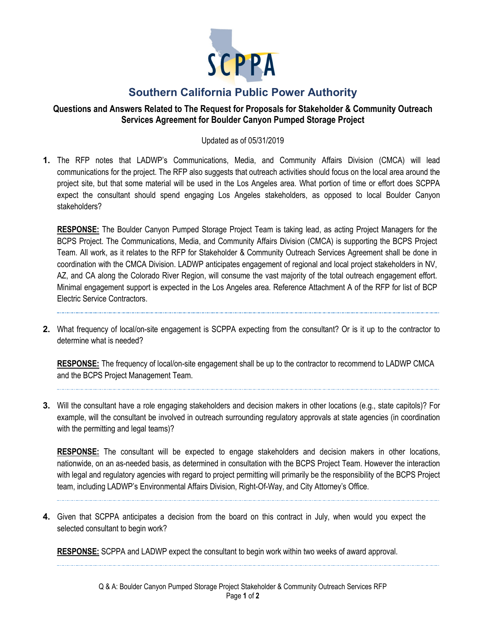

# **Southern California Public Power Authority**

## **Questions and Answers Related to The Request for Proposals for Stakeholder & Community Outreach Services Agreement for Boulder Canyon Pumped Storage Project**

#### Updated as of 05/31/2019

**1.** The RFP notes that LADWP's Communications, Media, and Community Affairs Division (CMCA) will lead communications for the project. The RFP also suggests that outreach activities should focus on the local area around the project site, but that some material will be used in the Los Angeles area. What portion of time or effort does SCPPA expect the consultant should spend engaging Los Angeles stakeholders, as opposed to local Boulder Canyon stakeholders?

**RESPONSE:** The Boulder Canyon Pumped Storage Project Team is taking lead, as acting Project Managers for the BCPS Project. The Communications, Media, and Community Affairs Division (CMCA) is supporting the BCPS Project Team. All work, as it relates to the RFP for Stakeholder & Community Outreach Services Agreement shall be done in coordination with the CMCA Division. LADWP anticipates engagement of regional and local project stakeholders in NV, AZ, and CA along the Colorado River Region, will consume the vast majority of the total outreach engagement effort. Minimal engagement support is expected in the Los Angeles area. Reference Attachment A of the RFP for list of BCP Electric Service Contractors.

**2.** What frequency of local/on-site engagement is SCPPA expecting from the consultant? Or is it up to the contractor to determine what is needed?

**RESPONSE:** The frequency of local/on-site engagement shall be up to the contractor to recommend to LADWP CMCA and the BCPS Project Management Team.

**3.** Will the consultant have a role engaging stakeholders and decision makers in other locations (e.g., state capitols)? For example, will the consultant be involved in outreach surrounding regulatory approvals at state agencies (in coordination with the permitting and legal teams)?

**RESPONSE:** The consultant will be expected to engage stakeholders and decision makers in other locations, nationwide, on an as-needed basis, as determined in consultation with the BCPS Project Team. However the interaction with legal and regulatory agencies with regard to project permitting will primarily be the responsibility of the BCPS Project team, including LADWP's Environmental Affairs Division, Right-Of-Way, and City Attorney's Office.

**4.** Given that SCPPA anticipates a decision from the board on this contract in July, when would you expect the selected consultant to begin work?

**RESPONSE:** SCPPA and LADWP expect the consultant to begin work within two weeks of award approval.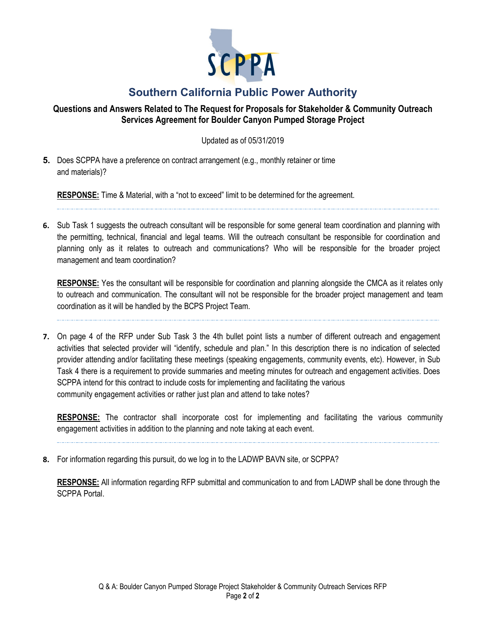

# **Southern California Public Power Authority**

## **Questions and Answers Related to The Request for Proposals for Stakeholder & Community Outreach Services Agreement for Boulder Canyon Pumped Storage Project**

Updated as of 05/31/2019

**5.** Does SCPPA have a preference on contract arrangement (e.g., monthly retainer or time and materials)?

**RESPONSE:** Time & Material, with a "not to exceed" limit to be determined for the agreement.

**6.** Sub Task 1 suggests the outreach consultant will be responsible for some general team coordination and planning with the permitting, technical, financial and legal teams. Will the outreach consultant be responsible for coordination and planning only as it relates to outreach and communications? Who will be responsible for the broader project management and team coordination?

**RESPONSE:** Yes the consultant will be responsible for coordination and planning alongside the CMCA as it relates only to outreach and communication. The consultant will not be responsible for the broader project management and team coordination as it will be handled by the BCPS Project Team.

**7.** On page 4 of the RFP under Sub Task 3 the 4th bullet point lists a number of different outreach and engagement activities that selected provider will "identify, schedule and plan." In this description there is no indication of selected provider attending and/or facilitating these meetings (speaking engagements, community events, etc). However, in Sub Task 4 there is a requirement to provide summaries and meeting minutes for outreach and engagement activities. Does SCPPA intend for this contract to include costs for implementing and facilitating the various community engagement activities or rather just plan and attend to take notes?

**RESPONSE:** The contractor shall incorporate cost for implementing and facilitating the various community engagement activities in addition to the planning and note taking at each event.

**8.** For information regarding this pursuit, do we log in to the LADWP BAVN site, or SCPPA?

**RESPONSE:** All information regarding RFP submittal and communication to and from LADWP shall be done through the SCPPA Portal.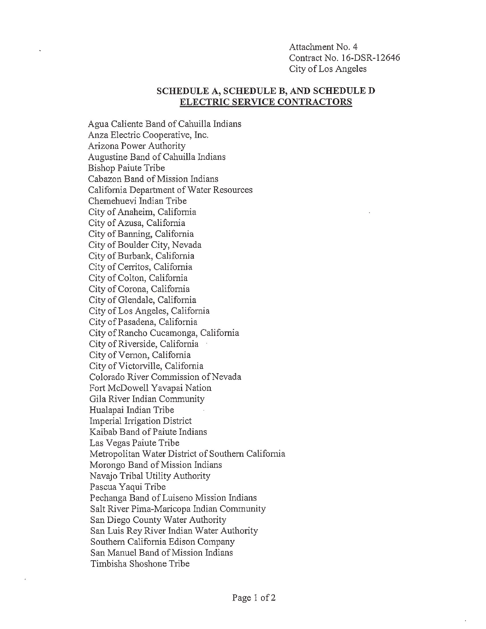Attachment No. 4 Contract No. 16-DSR-12646 City of Los Angeles

#### SCHEDULE A, SCHEDULE B, AND SCHEDULE D **ELECTRIC SERVICE CONTRACTORS**

Agua Caliente Band of Cahuilla Indians Anza Electric Cooperative, Inc. Arizona Power Authority Augustine Band of Cahuilla Indians **Bishop Paiute Tribe** Cabazon Band of Mission Indians California Department of Water Resources Chemehuevi Indian Tribe City of Anaheim, California City of Azusa, California City of Banning, California City of Boulder City, Nevada City of Burbank, California City of Cerritos, California City of Colton, California City of Corona, California City of Glendale, California City of Los Angeles, California City of Pasadena, California City of Rancho Cucamonga, California City of Riverside, California City of Vernon, California City of Victorville, California Colorado River Commission of Nevada Fort McDowell Yavapai Nation Gila River Indian Community Hualapai Indian Tribe Imperial Irrigation District Kaibab Band of Paiute Indians Las Vegas Paiute Tribe Metropolitan Water District of Southern California Morongo Band of Mission Indians Navajo Tribal Utility Authority Pascua Yaqui Tribe Pechanga Band of Luiseno Mission Indians Salt River Pima-Maricopa Indian Community San Diego County Water Authority San Luis Rey River Indian Water Authority Southern California Edison Company San Manuel Band of Mission Indians Timbisha Shoshone Tribe